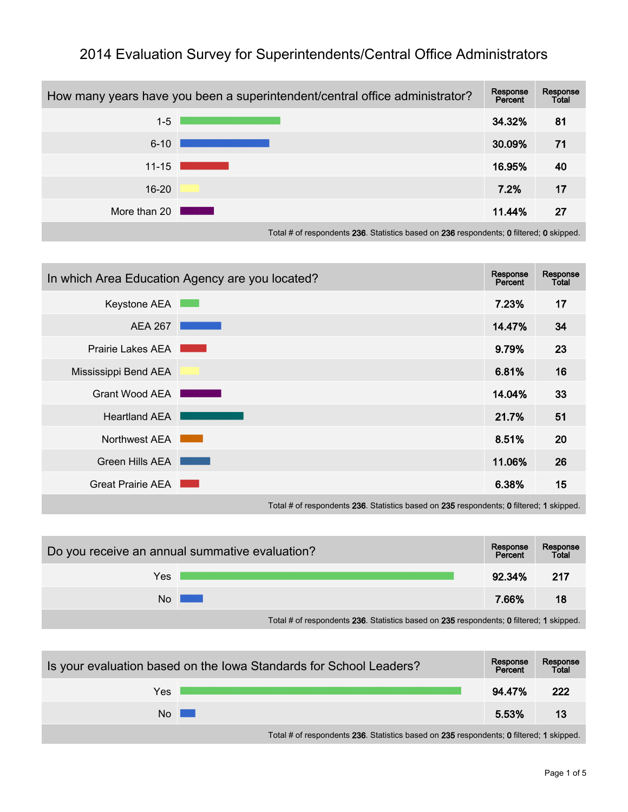

## 2014 Evaluation Survey for Superintendents/Central Office Administrators

Total # of respondents 236. Statistics based on 236 respondents; 0 filtered; 0 skipped.

|                      | In which Area Education Agency are you located? | Response<br>Percent | Response<br>Total |
|----------------------|-------------------------------------------------|---------------------|-------------------|
| Keystone AEA         |                                                 | 7.23%               | 17                |
| <b>AEA 267</b>       |                                                 | 14.47%              | 34                |
| Prairie Lakes AEA    |                                                 | 9.79%               | 23                |
| Mississippi Bend AEA |                                                 | 6.81%               | 16                |
| Grant Wood AEA       |                                                 | 14.04%              | 33                |
| <b>Heartland AEA</b> |                                                 | 21.7%               | 51                |
| Northwest AEA        |                                                 | 8.51%               | 20                |
| Green Hills AEA      |                                                 | 11.06%              | 26                |
| Great Prairie AEA    |                                                 | 6.38%               | 15                |
|                      |                                                 |                     |                   |

Total # of respondents 236. Statistics based on 235 respondents; 0 filtered; 1 skipped.

| Do you receive an annual summative evaluation?                                          |  | Response<br>Percent | Response<br>Total |  |
|-----------------------------------------------------------------------------------------|--|---------------------|-------------------|--|
| Yes                                                                                     |  | 92.34%              | -217              |  |
| No.                                                                                     |  | 7.66%               | 18                |  |
| Total # of respondents 236. Statistics based on 235 respondents; 0 filtered; 1 skipped. |  |                     |                   |  |

| Is your evaluation based on the Iowa Standards for School Leaders? |                                                                                         |        | Response<br>Total |
|--------------------------------------------------------------------|-----------------------------------------------------------------------------------------|--------|-------------------|
| Yes                                                                |                                                                                         | 94.47% | 222               |
| $No$ $\Box$                                                        |                                                                                         | 5.53%  | 13                |
|                                                                    | Total # of respondents 236. Statistics based on 235 respondents; 0 filtered; 1 skipped. |        |                   |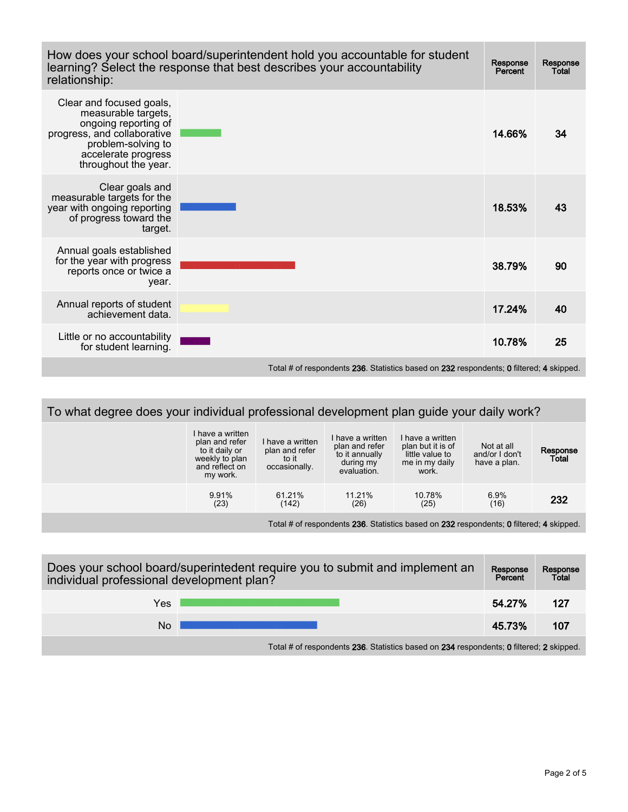| How does your school board/superintendent hold you accountable for student<br>learning? Select the response that best describes your accountability<br>relationship:        |  |        | <b>Response</b><br>Total |
|-----------------------------------------------------------------------------------------------------------------------------------------------------------------------------|--|--------|--------------------------|
| Clear and focused goals,<br>measurable targets,<br>ongoing reporting of<br>progress, and collaborative<br>problem-solving to<br>accelerate progress<br>throughout the year. |  | 14.66% | 34                       |
| Clear goals and<br>measurable targets for the<br>year with ongoing reporting<br>of progress toward the<br>target.                                                           |  | 18.53% | 43                       |
| Annual goals established<br>for the year with progress<br>reports once or twice a<br>year.                                                                                  |  | 38.79% | 90                       |
| Annual reports of student<br>achievement data.                                                                                                                              |  | 17.24% | 40                       |
| Little or no accountability<br>for student learning.                                                                                                                        |  | 10.78% | 25                       |

Total # of respondents 236. Statistics based on 232 respondents; 0 filtered; 4 skipped.

| To what degree does your individual professional development plan guide your daily work? |                                                                                                      |                                                              |                                                                                  |                                                                                     |                                              |                   |
|------------------------------------------------------------------------------------------|------------------------------------------------------------------------------------------------------|--------------------------------------------------------------|----------------------------------------------------------------------------------|-------------------------------------------------------------------------------------|----------------------------------------------|-------------------|
|                                                                                          | I have a written<br>plan and refer<br>to it daily or<br>weekly to plan<br>and reflect on<br>my work. | I have a written<br>plan and refer<br>to it<br>occasionally. | I have a written<br>plan and refer<br>to it annually<br>during my<br>evaluation. | I have a written<br>plan but it is of<br>little value to<br>me in my daily<br>work. | Not at all<br>and/or I don't<br>have a plan. | Response<br>Total |
|                                                                                          | 9.91%<br>(23)                                                                                        | 61.21%<br>(142)                                              | 11.21%<br>(26)                                                                   | 10.78%<br>(25)                                                                      | 6.9%<br>(16)                                 | 232               |
| Total # of respondents 236. Statistics based on 232 respondents; 0 filtered; 4 skipped.  |                                                                                                      |                                                              |                                                                                  |                                                                                     |                                              |                   |

| Does your school board/superintedent require you to submit and implement an<br>individual professional development plan? |  |        | Response<br>Total |  |  |
|--------------------------------------------------------------------------------------------------------------------------|--|--------|-------------------|--|--|
| Yes                                                                                                                      |  | 54.27% | 127               |  |  |
| No                                                                                                                       |  | 45.73% | 107               |  |  |
| Tatal II of proposable the 000. Otatistics because on 004 proposable the Officers de Oscilion of                         |  |        |                   |  |  |

Total # of respondents 236. Statistics based on 234 respondents; 0 filtered; 2 skipped.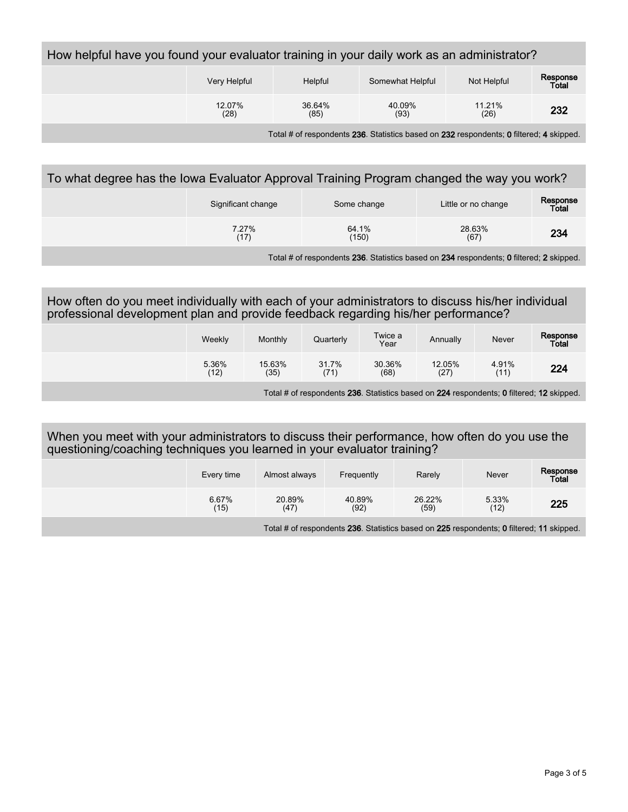| How helpful have you found your evaluator training in your daily work as an administrator? |                |                |                  |                |                   |  |
|--------------------------------------------------------------------------------------------|----------------|----------------|------------------|----------------|-------------------|--|
|                                                                                            | Very Helpful   | Helpful        | Somewhat Helpful | Not Helpful    | Response<br>Total |  |
|                                                                                            | 12.07%<br>(28) | 36.64%<br>(85) | 40.09%<br>(93)   | 11.21%<br>(26) | 232               |  |
|                                                                                            |                |                |                  |                |                   |  |

Total # of respondents 236. Statistics based on 232 respondents; 0 filtered; 4 skipped.

## To what degree has the Iowa Evaluator Approval Training Program changed the way you work?

| Significant change | Some change    | Little or no change | Response<br>Total |
|--------------------|----------------|---------------------|-------------------|
| 7.27%<br>(17)      | 64.1%<br>(150) | 28.63%<br>(67)      | 234               |

Total # of respondents 236. Statistics based on 234 respondents; 0 filtered; 2 skipped.

## How often do you meet individually with each of your administrators to discuss his/her individual professional development plan and provide feedback regarding his/her performance?

| Weekly        | Monthly        | Quarterly     | Twice a<br>Year | Annually       | Never         | Response<br>Total |
|---------------|----------------|---------------|-----------------|----------------|---------------|-------------------|
| 5.36%<br>(12) | 15.63%<br>(35) | 31.7%<br>(71) | 30.36%<br>(68)  | 12.05%<br>(27) | 4.91%<br>(11) | 224               |

Total # of respondents 236. Statistics based on 224 respondents; 0 filtered; 12 skipped.

## When you meet with your administrators to discuss their performance, how often do you use the questioning/coaching techniques you learned in your evaluator training?

| Every time    | Almost always  | Frequently     | Rarely         | Never         | Response<br>Total |
|---------------|----------------|----------------|----------------|---------------|-------------------|
| 6.67%<br>(15) | 20.89%<br>(47) | 40.89%<br>(92) | 26.22%<br>(59) | 5.33%<br>(12) | 225               |

Total # of respondents 236. Statistics based on 225 respondents; 0 filtered; 11 skipped.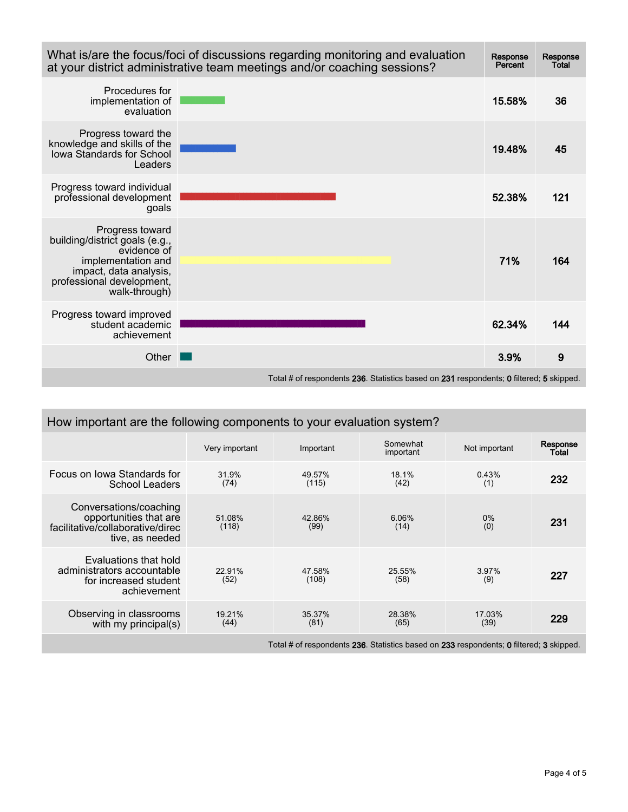| What is/are the focus/foci of discussions regarding monitoring and evaluation<br>at your district administrative team meetings and/or coaching sessions?       | <b>Response</b><br>Percent | <b>Response</b><br>Total |     |  |
|----------------------------------------------------------------------------------------------------------------------------------------------------------------|----------------------------|--------------------------|-----|--|
| Procedures for<br>implementation of<br>evaluation                                                                                                              |                            | 15.58%                   | 36  |  |
| Progress toward the<br>knowledge and skills of the<br>Iowa Standards for School<br>Leaders                                                                     |                            | 19.48%                   | 45  |  |
| Progress toward individual<br>professional development<br>goals                                                                                                |                            | 52.38%                   | 121 |  |
| Progress toward<br>building/district goals (e.g.,<br>evidence of<br>implementation and<br>impact, data analysis,<br>professional development,<br>walk-through) |                            | 71%                      | 164 |  |
| Progress toward improved<br>student academic<br>achievement                                                                                                    |                            | 62.34%                   | 144 |  |
| Other                                                                                                                                                          |                            | 3.9%                     | 9   |  |
| Total # of respondents 236. Statistics based on 231 respondents; 0 filtered; 5 skipped.                                                                        |                            |                          |     |  |

| How important are the following components to your evaluation system?                                   |                 |                 |                       |                |                   |  |  |
|---------------------------------------------------------------------------------------------------------|-----------------|-----------------|-----------------------|----------------|-------------------|--|--|
|                                                                                                         | Very important  | Important       | Somewhat<br>important | Not important  | Response<br>Total |  |  |
| Focus on Iowa Standards for<br>School Leaders                                                           | 31.9%<br>(74)   | 49.57%<br>(115) | 18.1%<br>(42)         | 0.43%<br>(1)   | 232               |  |  |
| Conversations/coaching<br>opportunities that are<br>facilitative/collaborative/direc<br>tive, as needed | 51.08%<br>(118) | 42.86%<br>(99)  | 6.06%<br>(14)         | $0\%$<br>(0)   | 231               |  |  |
| Evaluations that hold<br>administrators accountable<br>for increased student<br>achievement             | 22.91%<br>(52)  | 47.58%<br>(108) | 25.55%<br>(58)        | 3.97%<br>(9)   | 227               |  |  |
| Observing in classrooms<br>with my principal(s)                                                         | 19.21%<br>(44)  | 35.37%<br>(81)  | 28.38%<br>(65)        | 17.03%<br>(39) | 229               |  |  |
| Total # of respondents 236. Statistics based on 233 respondents; 0 filtered; 3 skipped.                 |                 |                 |                       |                |                   |  |  |